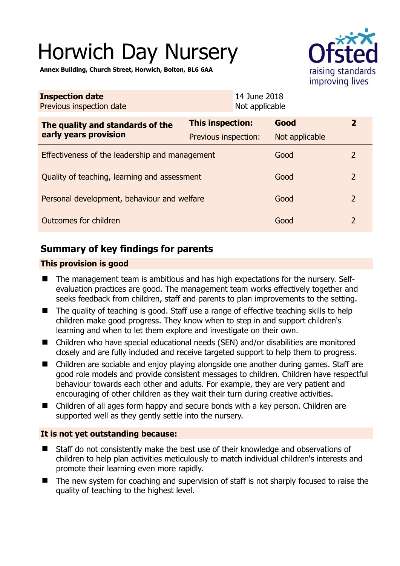# Horwich Day Nursery

raising standards improving lives

**Annex Building, Church Street, Horwich, Bolton, BL6 6AA** 

| <b>Inspection date</b><br>Previous inspection date        |                         | 14 June 2018<br>Not applicable |                |                |
|-----------------------------------------------------------|-------------------------|--------------------------------|----------------|----------------|
| The quality and standards of the<br>early years provision | <b>This inspection:</b> |                                | Good           | $\mathbf{2}$   |
|                                                           | Previous inspection:    |                                | Not applicable |                |
| Effectiveness of the leadership and management            |                         |                                | Good           | $\overline{2}$ |
| Quality of teaching, learning and assessment              |                         |                                | Good           | 2              |
| Personal development, behaviour and welfare               |                         |                                | Good           | 2              |
| Outcomes for children                                     |                         |                                | Good           | 2              |

# **Summary of key findings for parents**

## **This provision is good**

- The management team is ambitious and has high expectations for the nursery. Selfevaluation practices are good. The management team works effectively together and seeks feedback from children, staff and parents to plan improvements to the setting.
- The quality of teaching is good. Staff use a range of effective teaching skills to help children make good progress. They know when to step in and support children's learning and when to let them explore and investigate on their own.
- Children who have special educational needs (SEN) and/or disabilities are monitored closely and are fully included and receive targeted support to help them to progress.
- Children are sociable and enjoy playing alongside one another during games. Staff are good role models and provide consistent messages to children. Children have respectful behaviour towards each other and adults. For example, they are very patient and encouraging of other children as they wait their turn during creative activities.
- Children of all ages form happy and secure bonds with a key person. Children are supported well as they gently settle into the nursery.

## **It is not yet outstanding because:**

- Staff do not consistently make the best use of their knowledge and observations of children to help plan activities meticulously to match individual children's interests and promote their learning even more rapidly.
- The new system for coaching and supervision of staff is not sharply focused to raise the quality of teaching to the highest level.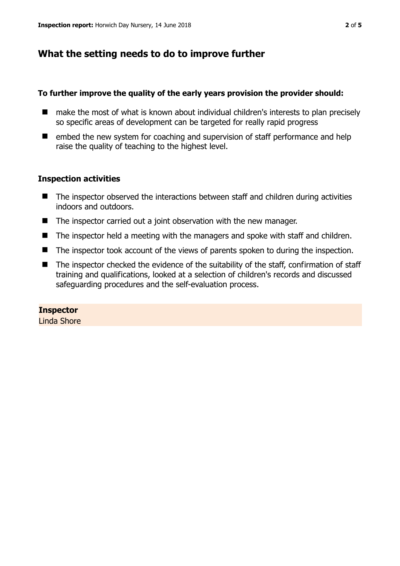# **What the setting needs to do to improve further**

#### **To further improve the quality of the early years provision the provider should:**

- make the most of what is known about individual children's interests to plan precisely so specific areas of development can be targeted for really rapid progress
- $\blacksquare$  embed the new system for coaching and supervision of staff performance and help raise the quality of teaching to the highest level.

### **Inspection activities**

- The inspector observed the interactions between staff and children during activities indoors and outdoors.
- The inspector carried out a joint observation with the new manager.
- The inspector held a meeting with the managers and spoke with staff and children.
- The inspector took account of the views of parents spoken to during the inspection.
- The inspector checked the evidence of the suitability of the staff, confirmation of staff training and qualifications, looked at a selection of children's records and discussed safeguarding procedures and the self-evaluation process.

## **Inspector**

Linda Shore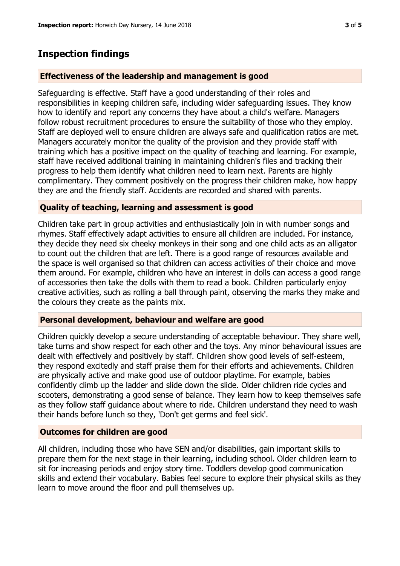# **Inspection findings**

#### **Effectiveness of the leadership and management is good**

Safeguarding is effective. Staff have a good understanding of their roles and responsibilities in keeping children safe, including wider safeguarding issues. They know how to identify and report any concerns they have about a child's welfare. Managers follow robust recruitment procedures to ensure the suitability of those who they employ. Staff are deployed well to ensure children are always safe and qualification ratios are met. Managers accurately monitor the quality of the provision and they provide staff with training which has a positive impact on the quality of teaching and learning. For example, staff have received additional training in maintaining children's files and tracking their progress to help them identify what children need to learn next. Parents are highly complimentary. They comment positively on the progress their children make, how happy they are and the friendly staff. Accidents are recorded and shared with parents.

#### **Quality of teaching, learning and assessment is good**

Children take part in group activities and enthusiastically join in with number songs and rhymes. Staff effectively adapt activities to ensure all children are included. For instance, they decide they need six cheeky monkeys in their song and one child acts as an alligator to count out the children that are left. There is a good range of resources available and the space is well organised so that children can access activities of their choice and move them around. For example, children who have an interest in dolls can access a good range of accessories then take the dolls with them to read a book. Children particularly enjoy creative activities, such as rolling a ball through paint, observing the marks they make and the colours they create as the paints mix.

#### **Personal development, behaviour and welfare are good**

Children quickly develop a secure understanding of acceptable behaviour. They share well, take turns and show respect for each other and the toys. Any minor behavioural issues are dealt with effectively and positively by staff. Children show good levels of self-esteem, they respond excitedly and staff praise them for their efforts and achievements. Children are physically active and make good use of outdoor playtime. For example, babies confidently climb up the ladder and slide down the slide. Older children ride cycles and scooters, demonstrating a good sense of balance. They learn how to keep themselves safe as they follow staff guidance about where to ride. Children understand they need to wash their hands before lunch so they, 'Don't get germs and feel sick'.

## **Outcomes for children are good**

All children, including those who have SEN and/or disabilities, gain important skills to prepare them for the next stage in their learning, including school. Older children learn to sit for increasing periods and enjoy story time. Toddlers develop good communication skills and extend their vocabulary. Babies feel secure to explore their physical skills as they learn to move around the floor and pull themselves up.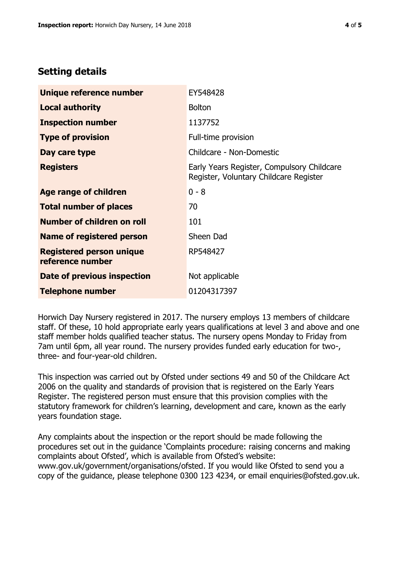# **Setting details**

| Unique reference number                             | EY548428                                                                             |  |
|-----------------------------------------------------|--------------------------------------------------------------------------------------|--|
| <b>Local authority</b>                              | <b>Bolton</b>                                                                        |  |
| <b>Inspection number</b>                            | 1137752                                                                              |  |
| <b>Type of provision</b>                            | Full-time provision                                                                  |  |
| Day care type                                       | Childcare - Non-Domestic                                                             |  |
| <b>Registers</b>                                    | Early Years Register, Compulsory Childcare<br>Register, Voluntary Childcare Register |  |
| Age range of children                               | $0 - 8$                                                                              |  |
| <b>Total number of places</b>                       | 70                                                                                   |  |
| Number of children on roll                          | 101                                                                                  |  |
| Name of registered person                           | Sheen Dad                                                                            |  |
| <b>Registered person unique</b><br>reference number | RP548427                                                                             |  |
| Date of previous inspection                         | Not applicable                                                                       |  |
| <b>Telephone number</b>                             | 01204317397                                                                          |  |

Horwich Day Nursery registered in 2017. The nursery employs 13 members of childcare staff. Of these, 10 hold appropriate early years qualifications at level 3 and above and one staff member holds qualified teacher status. The nursery opens Monday to Friday from 7am until 6pm, all year round. The nursery provides funded early education for two-, three- and four-year-old children.

This inspection was carried out by Ofsted under sections 49 and 50 of the Childcare Act 2006 on the quality and standards of provision that is registered on the Early Years Register. The registered person must ensure that this provision complies with the statutory framework for children's learning, development and care, known as the early years foundation stage.

Any complaints about the inspection or the report should be made following the procedures set out in the guidance 'Complaints procedure: raising concerns and making complaints about Ofsted', which is available from Ofsted's website: www.gov.uk/government/organisations/ofsted. If you would like Ofsted to send you a copy of the guidance, please telephone 0300 123 4234, or email enquiries@ofsted.gov.uk.